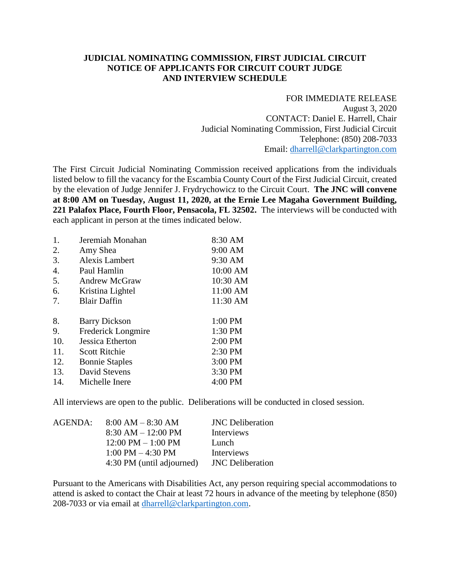## **JUDICIAL NOMINATING COMMISSION, FIRST JUDICIAL CIRCUIT NOTICE OF APPLICANTS FOR CIRCUIT COURT JUDGE AND INTERVIEW SCHEDULE**

## FOR IMMEDIATE RELEASE

August 3, 2020 CONTACT: Daniel E. Harrell, Chair Judicial Nominating Commission, First Judicial Circuit Telephone: (850) 208-7033 Email: [dharrell@clarkpartington.com](mailto:dharrell@clarkpartington.com)

The First Circuit Judicial Nominating Commission received applications from the individuals listed below to fill the vacancy for the Escambia County Court of the First Judicial Circuit, created by the elevation of Judge Jennifer J. Frydrychowicz to the Circuit Court. **The JNC will convene at 8:00 AM on Tuesday, August 11, 2020, at the Ernie Lee Magaha Government Building, 221 Palafox Place, Fourth Floor, Pensacola, FL 32502.** The interviews will be conducted with each applicant in person at the times indicated below.

| 1.               | Jeremiah Monahan      | 8:30 AM  |
|------------------|-----------------------|----------|
| 2.               | Amy Shea              | 9:00 AM  |
| 3.               | <b>Alexis Lambert</b> | 9:30 AM  |
| $\overline{4}$ . | Paul Hamlin           | 10:00 AM |
| 5.               | <b>Andrew McGraw</b>  | 10:30 AM |
| 6.               | Kristina Lightel      | 11:00 AM |
| 7.               | <b>Blair Daffin</b>   | 11:30 AM |
| 8.               | <b>Barry Dickson</b>  | 1:00 PM  |
| 9.               | Frederick Longmire    | 1:30 PM  |
| 10.              | Jessica Etherton      | 2:00 PM  |
| 11.              | <b>Scott Ritchie</b>  | 2:30 PM  |
| 12.              | <b>Bonnie Staples</b> | 3:00 PM  |
| 13.              | David Stevens         | 3:30 PM  |
| 14.              | Michelle Inere        | 4:00 PM  |
|                  |                       |          |

All interviews are open to the public. Deliberations will be conducted in closed session.

| AGENDA: | $8:00 AM - 8:30 AM$                  | <b>JNC</b> Deliberation |
|---------|--------------------------------------|-------------------------|
|         | $8:30 AM - 12:00 PM$                 | Interviews              |
|         | $12:00 \text{ PM} - 1:00 \text{ PM}$ | Lunch                   |
|         | $1:00 \text{ PM} - 4:30 \text{ PM}$  | <b>Interviews</b>       |
|         | 4:30 PM (until adjourned)            | <b>JNC</b> Deliberation |
|         |                                      |                         |

Pursuant to the Americans with Disabilities Act, any person requiring special accommodations to attend is asked to contact the Chair at least 72 hours in advance of the meeting by telephone (850) 208-7033 or via email at [dharrell@clarkpartington.com.](mailto:dharrell@clarkpartington.com)